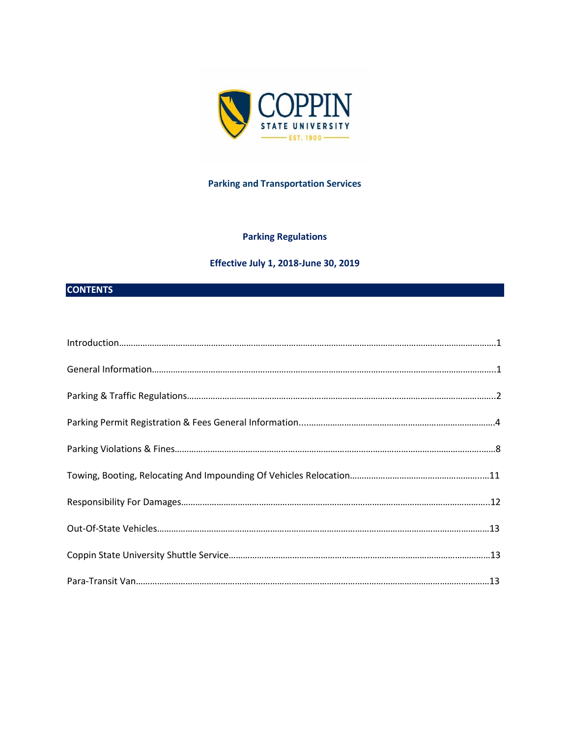

# **Parking and Transportation Services**

# **Parking Regulations**

# **Effective July 1, 2018-June 30, 2019**

# **CONTENTS**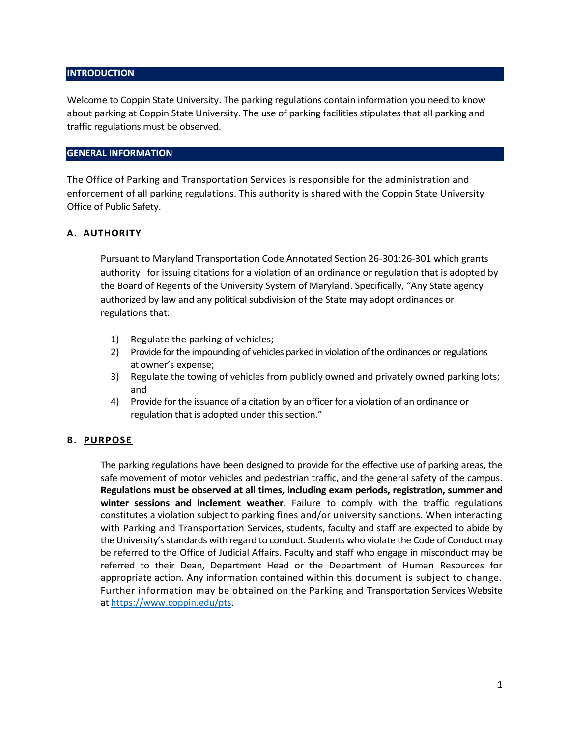## **INTRODUCTION**

Welcome to Coppin State University. The parking regulations contain information you need to know about parking at Coppin State University. The use of parking facilities stipulates that all parking and traffic regulations must be observed.

## **GENERAL INFORMATION**

The Office of Parking and Transportation Services is responsible for the administration and enforcement of all parking regulations. This authority is shared with the Coppin State University Office of Public Safety.

## **A. AUTHORITY**

Pursuant to Maryland Transportation Code Annotated Section 26-301:26-301 which grants authority for issuing citations for a violation of an ordinance or regulation that is adopted by the Board of Regents of the University System of Maryland. Specifically, "Any State agency authorized by law and any political subdivision of the State may adopt ordinances or regulations that:

- 1) Regulate the parking of vehicles;
- 2) Provide for the impounding of vehicles parked in violation of the ordinances or regulations at owner's expense;
- 3) Regulate the towing of vehicles from publicly owned and privately owned parking lots; and
- 4) Provide for the issuance of a citation by an officer for a violation of an ordinance or regulation that is adopted under this section."

## **B. PURPOSE**

The parking regulations have been designed to provide for the effective use of parking areas, the safe movement of motor vehicles and pedestrian traffic, and the general safety of the campus. **Regulations must be observed at all times, including exam periods, registration, summer and winter sessions and inclement weather**. Failure to comply with the traffic regulations constitutes a violation subject to parking fines and/or university sanctions. When interacting with Parking and Transportation Services, students, faculty and staff are expected to abide by the University's standards with regard to conduct. Students who violate the Code of Conduct may be referred to the Office of Judicial Affairs. Faculty and staff who engage in misconduct may be referred to their Dean, Department Head or the Department of Human Resources for appropriate action. Any information contained within this document is subject to change. Further information may be obtained on the Parking and Transportation Services Website a[t https://www.coppin.edu/pts.](https://www.coppin.edu/pts)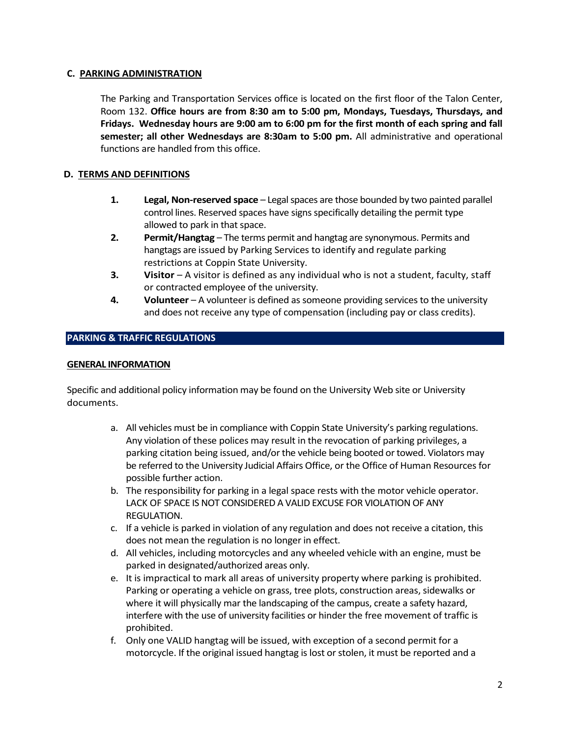## **C. PARKING ADMINISTRATION**

The Parking and Transportation Services office is located on the first floor of the Talon Center, Room 132. **Office hours are from 8:30 am to 5:00 pm, Mondays, Tuesdays, Thursdays, and Fridays. Wednesday hours are 9:00 am to 6:00 pm for the first month of each spring and fall semester; all other Wednesdays are 8:30am to 5:00 pm.** All administrative and operational functions are handled from this office.

## **D. TERMS AND DEFINITIONS**

- **1. Legal, Non-reserved space** Legal spaces are those bounded by two painted parallel control lines. Reserved spaces have signs specifically detailing the permit type allowed to park in that space.
- **2. Permit/Hangtag** The terms permit and hangtag are synonymous. Permits and hangtags are issued by Parking Services to identify and regulate parking restrictions at Coppin State University.
- **3. Visitor** A visitor is defined as any individual who is not a student, faculty, staff or contracted employee of the university.
- **4. Volunteer** A volunteer is defined as someone providing services to the university and does not receive any type of compensation (including pay or class credits).

### **PARKING & TRAFFIC REGULATIONS**

#### **GENERAL INFORMATION**

Specific and additional policy information may be found on the University Web site or University documents.

- a. All vehicles must be in compliance with Coppin State University's parking regulations. Any violation of these polices may result in the revocation of parking privileges, a parking citation being issued, and/or the vehicle being booted or towed. Violators may be referred to the University Judicial Affairs Office, or the Office of Human Resources for possible further action.
- b. The responsibility for parking in a legal space rests with the motor vehicle operator. LACK OF SPACE IS NOT CONSIDERED A VALID EXCUSE FOR VIOLATION OF ANY REGULATION.
- c. If a vehicle is parked in violation of any regulation and does not receive a citation, this does not mean the regulation is no longer in effect.
- d. All vehicles, including motorcycles and any wheeled vehicle with an engine, must be parked in designated/authorized areas only.
- e. It is impractical to mark all areas of university property where parking is prohibited. Parking or operating a vehicle on grass, tree plots, construction areas, sidewalks or where it will physically mar the landscaping of the campus, create a safety hazard, interfere with the use of university facilities or hinder the free movement of traffic is prohibited.
- f. Only one VALID hangtag will be issued, with exception of a second permit for a motorcycle. If the original issued hangtag is lost or stolen, it must be reported and a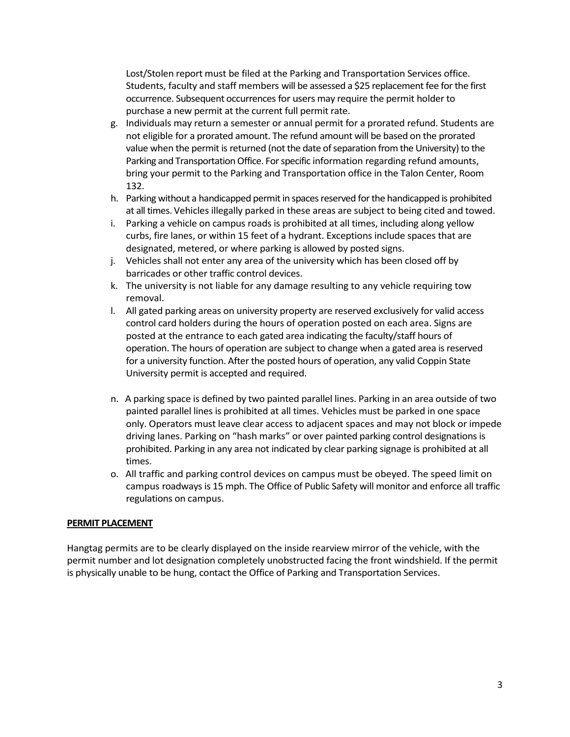Lost/Stolen report must be filed at the Parking and Transportation Services office. Students, faculty and staff members will be assessed a \$25 replacement fee for the first occurrence. Subsequent occurrences for users may require the permit holder to purchase a new permit at the current full permit rate.

- g. Individuals may return a semester or annual permit for a prorated refund. Students are not eligible for a prorated amount. The refund amount will be based on the prorated value when the permit is returned (not the date of separation from the University) to the Parking and Transportation Office. For specific information regarding refund amounts, bring your permit to the Parking and Transportation office in the Talon Center, Room 132.
- h. Parking without a handicapped permit in spaces reserved for the handicapped is prohibited at all times. Vehicles illegally parked in these areas are subject to being cited and towed.
- i. Parking a vehicle on campus roads is prohibited at all times, including along yellow curbs, fire lanes, or within 15 feet of a hydrant. Exceptions include spaces that are designated, metered, or where parking is allowed by posted signs.
- j. Vehicles shall not enter any area of the university which has been closed off by barricades or other traffic control devices.
- k. The university is not liable for any damage resulting to any vehicle requiring tow removal.
- l. All gated parking areas on university property are reserved exclusively for valid access control card holders during the hours of operation posted on each area. Signs are posted at the entrance to each gated area indicating the faculty/staff hours of operation. The hours of operation are subject to change when a gated area is reserved for a university function. After the posted hours of operation, any valid Coppin State University permit is accepted and required.
- n. A parking space is defined by two painted parallel lines. Parking in an area outside of two painted parallel lines is prohibited at all times. Vehicles must be parked in one space only. Operators must leave clear access to adjacent spaces and may not block or impede driving lanes. Parking on "hash marks" or over painted parking control designations is prohibited. Parking in any area not indicated by clear parking signage is prohibited at all times.
- o. All traffic and parking control devices on campus must be obeyed. The speed limit on campus roadways is 15 mph. The Office of Public Safety will monitor and enforce all traffic regulations on campus.

## **PERMIT PLACEMENT**

Hangtag permits are to be clearly displayed on the inside rearview mirror of the vehicle, with the permit number and lot designation completely unobstructed facing the front windshield. If the permit is physically unable to be hung, contact the Office of Parking and Transportation Services.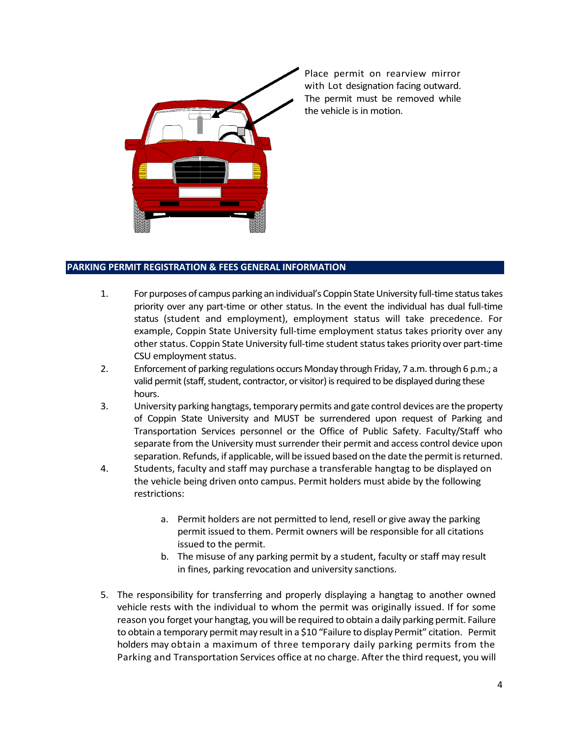

Place permit on rearview mirror with Lot designation facing outward. The permit must be removed while the vehicle is in motion.

## **PARKING PERMIT REGISTRATION & FEES GENERAL INFORMATION**

- 1. For purposes of campus parking an individual's Coppin State University full-time status takes priority over any part-time or other status. In the event the individual has dual full-time status (student and employment), employment status will take precedence. For example, Coppin State University full-time employment status takes priority over any other status. Coppin State University full-time student status takes priority over part-time CSU employment status.
- 2. Enforcement of parking regulations occurs Monday through Friday, 7 a.m. through 6 p.m.; a valid permit (staff, student, contractor, or visitor) is required to be displayed during these hours.
- 3. University parking hangtags, temporary permits and gate control devices are the property of Coppin State University and MUST be surrendered upon request of Parking and Transportation Services personnel or the Office of Public Safety. Faculty/Staff who separate from the University must surrender their permit and access control device upon separation. Refunds, if applicable, will be issued based on the date the permit is returned.
- 4. Students, faculty and staff may purchase a transferable hangtag to be displayed on the vehicle being driven onto campus. Permit holders must abide by the following restrictions:
	- a. Permit holders are not permitted to lend, resell or give away the parking permit issued to them. Permit owners will be responsible for all citations issued to the permit.
	- b. The misuse of any parking permit by a student, faculty or staff may result in fines, parking revocation and university sanctions.
- 5. The responsibility for transferring and properly displaying a hangtag to another owned vehicle rests with the individual to whom the permit was originally issued. If for some reason you forget your hangtag, you will be required to obtain a daily parking permit. Failure to obtain a temporary permit may result in a \$10 "Failure to display Permit" citation. Permit holders may obtain a maximum of three temporary daily parking permits from the Parking and Transportation Services office at no charge. After the third request, you will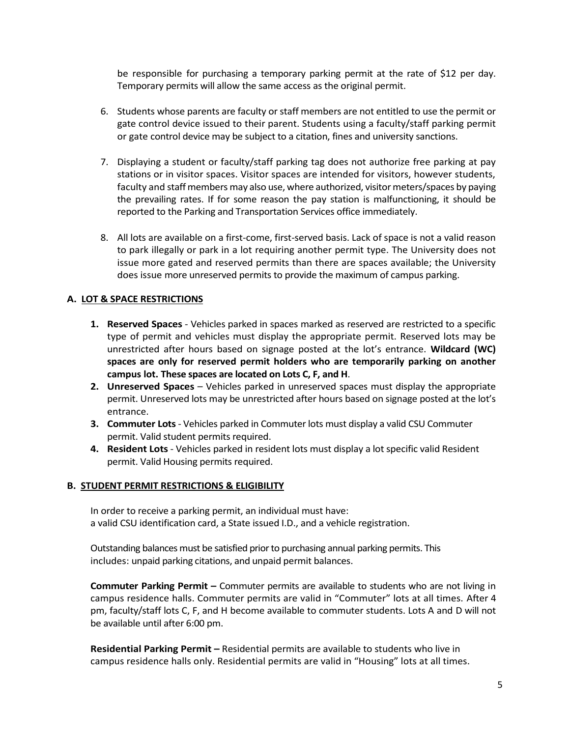be responsible for purchasing a temporary parking permit at the rate of \$12 per day. Temporary permits will allow the same access as the original permit.

- 6. Students whose parents are faculty or staff members are not entitled to use the permit or gate control device issued to their parent. Students using a faculty/staff parking permit or gate control device may be subject to a citation, fines and university sanctions.
- 7. Displaying a student or faculty/staff parking tag does not authorize free parking at pay stations or in visitor spaces. Visitor spaces are intended for visitors, however students, faculty and staff members may also use, where authorized, visitor meters/spaces by paying the prevailing rates. If for some reason the pay station is malfunctioning, it should be reported to the Parking and Transportation Services office immediately.
- 8. All lots are available on a first-come, first-served basis. Lack of space is not a valid reason to park illegally or park in a lot requiring another permit type. The University does not issue more gated and reserved permits than there are spaces available; the University does issue more unreserved permits to provide the maximum of campus parking.

## **A. LOT & SPACE RESTRICTIONS**

- **1. Reserved Spaces** Vehicles parked in spaces marked as reserved are restricted to a specific type of permit and vehicles must display the appropriate permit. Reserved lots may be unrestricted after hours based on signage posted at the lot's entrance. **Wildcard (WC) spaces are only for reserved permit holders who are temporarily parking on another campus lot. These spaces are located on Lots C, F, and H**.
- **2. Unreserved Spaces** Vehicles parked in unreserved spaces must display the appropriate permit. Unreserved lots may be unrestricted after hours based on signage posted at the lot's entrance.
- **3. Commuter Lots** Vehicles parked in Commuter lots must display a valid CSU Commuter permit. Valid student permits required.
- **4. Resident Lots** Vehicles parked in resident lots must display a lot specific valid Resident permit. Valid Housing permits required.

## **B. STUDENT PERMIT RESTRICTIONS & ELIGIBILITY**

In order to receive a parking permit, an individual must have: a valid CSU identification card, a State issued I.D., and a vehicle registration.

Outstanding balances must be satisfied prior to purchasing annual parking permits. This includes: unpaid parking citations, and unpaid permit balances.

**Commuter Parking Permit –** Commuter permits are available to students who are not living in campus residence halls. Commuter permits are valid in "Commuter" lots at all times. After 4 pm, faculty/staff lots C, F, and H become available to commuter students. Lots A and D will not be available until after 6:00 pm.

**Residential Parking Permit –** Residential permits are available to students who live in campus residence halls only. Residential permits are valid in "Housing" lots at all times.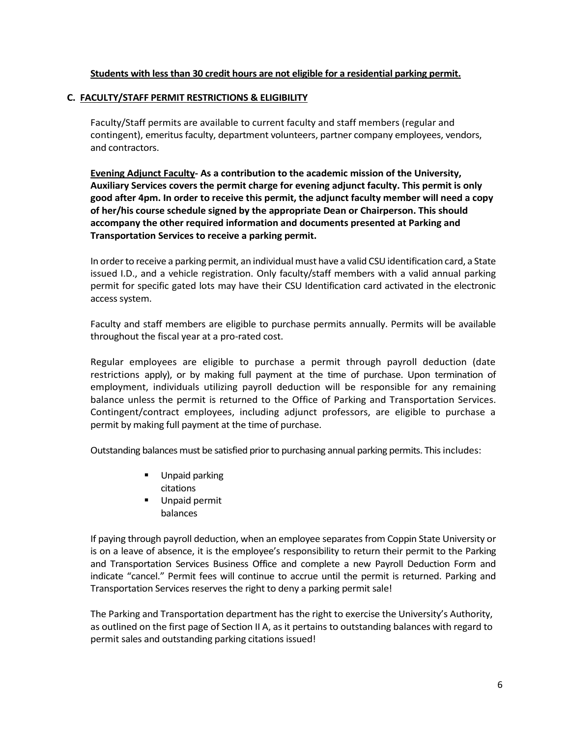## **Students with less than 30 credit hours are not eligible for a residential parking permit.**

#### **C. FACULTY/STAFF PERMIT RESTRICTIONS & ELIGIBILITY**

Faculty/Staff permits are available to current faculty and staff members (regular and contingent), emeritus faculty, department volunteers, partner company employees, vendors, and contractors.

**Evening Adjunct Faculty- As a contribution to the academic mission of the University, Auxiliary Services covers the permit charge for evening adjunct faculty. This permit is only good after 4pm. In order to receive this permit, the adjunct faculty member will need a copy of her/his course schedule signed by the appropriate Dean or Chairperson. This should accompany the other required information and documents presented at Parking and Transportation Services to receive a parking permit.**

In order to receive a parking permit, an individual must have a valid CSU identification card, a State issued I.D., and a vehicle registration. Only faculty/staff members with a valid annual parking permit for specific gated lots may have their CSU Identification card activated in the electronic access system.

Faculty and staff members are eligible to purchase permits annually. Permits will be available throughout the fiscal year at a pro-rated cost.

Regular employees are eligible to purchase a permit through payroll deduction (date restrictions apply), or by making full payment at the time of purchase. Upon termination of employment, individuals utilizing payroll deduction will be responsible for any remaining balance unless the permit is returned to the Office of Parking and Transportation Services. Contingent/contract employees, including adjunct professors, are eligible to purchase a permit by making full payment at the time of purchase.

Outstanding balances must be satisfied prior to purchasing annual parking permits. This includes:

- **Unpaid parking** citations
- **Unpaid permit** balances

If paying through payroll deduction, when an employee separates from Coppin State University or is on a leave of absence, it is the employee's responsibility to return their permit to the Parking and Transportation Services Business Office and complete a new Payroll Deduction Form and indicate "cancel." Permit fees will continue to accrue until the permit is returned. Parking and Transportation Services reserves the right to deny a parking permit sale!

The Parking and Transportation department has the right to exercise the University's Authority, as outlined on the first page of Section II A, as it pertains to outstanding balances with regard to permit sales and outstanding parking citations issued!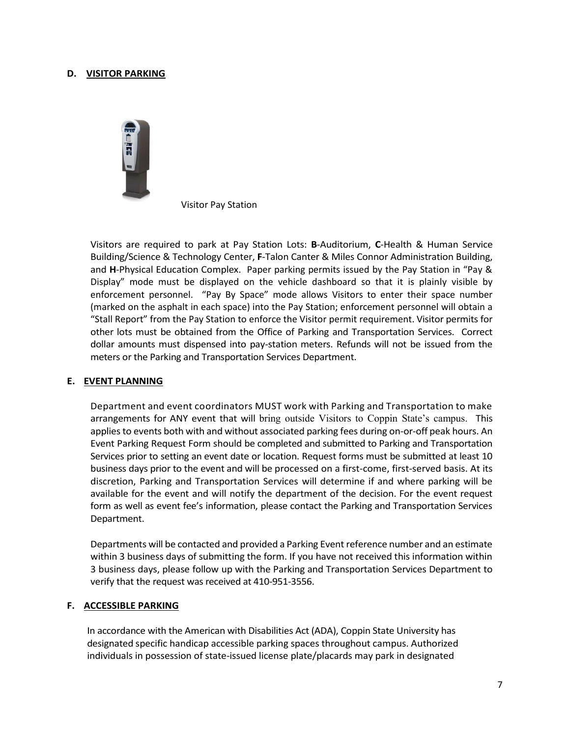#### **D. VISITOR PARKING**



Visitor Pay Station

Visitors are required to park at Pay Station Lots: **B**-Auditorium, **C**-Health & Human Service Building/Science & Technology Center, **F**-Talon Canter & Miles Connor Administration Building, and **H**-Physical Education Complex. Paper parking permits issued by the Pay Station in "Pay & Display" mode must be displayed on the vehicle dashboard so that it is plainly visible by enforcement personnel. "Pay By Space" mode allows Visitors to enter their space number (marked on the asphalt in each space) into the Pay Station; enforcement personnel will obtain a "Stall Report" from the Pay Station to enforce the Visitor permit requirement. Visitor permits for other lots must be obtained from the Office of Parking and Transportation Services. Correct dollar amounts must dispensed into pay-station meters. Refunds will not be issued from the meters or the Parking and Transportation Services Department.

#### **E. EVENT PLANNING**

Department and event coordinators MUST work with Parking and Transportation to make arrangements for ANY event that will bring outside Visitors to Coppin State's campus. This applies to events both with and without associated parking fees during on-or-off peak hours. An Event Parking Request Form should be completed and submitted to Parking and Transportation Services prior to setting an event date or location. Request forms must be submitted at least 10 business days prior to the event and will be processed on a first-come, first-served basis. At its discretion, Parking and Transportation Services will determine if and where parking will be available for the event and will notify the department of the decision. For the event request form as well as event fee's information, please contact the Parking and Transportation Services Department.

Departments will be contacted and provided a Parking Event reference number and an estimate within 3 business days of submitting the form. If you have not received this information within 3 business days, please follow up with the Parking and Transportation Services Department to verify that the request was received at 410-951-3556.

#### **F. ACCESSIBLE PARKING**

In accordance with the American with Disabilities Act (ADA), Coppin State University has designated specific handicap accessible parking spaces throughout campus. Authorized individuals in possession of state-issued license plate/placards may park in designated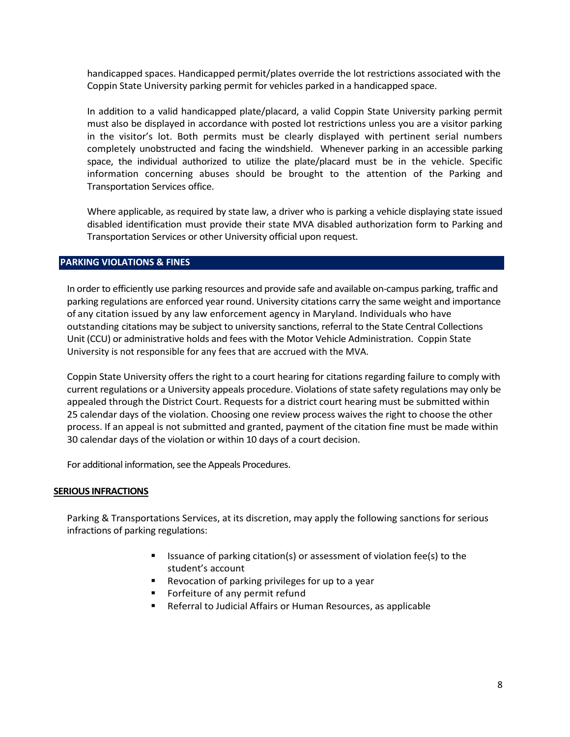handicapped spaces. Handicapped permit/plates override the lot restrictions associated with the Coppin State University parking permit for vehicles parked in a handicapped space.

In addition to a valid handicapped plate/placard, a valid Coppin State University parking permit must also be displayed in accordance with posted lot restrictions unless you are a visitor parking in the visitor's lot. Both permits must be clearly displayed with pertinent serial numbers completely unobstructed and facing the windshield. Whenever parking in an accessible parking space, the individual authorized to utilize the plate/placard must be in the vehicle. Specific information concerning abuses should be brought to the attention of the Parking and Transportation Services office.

Where applicable, as required by state law, a driver who is parking a vehicle displaying state issued disabled identification must provide their state MVA disabled authorization form to Parking and Transportation Services or other University official upon request.

#### **PARKING VIOLATIONS & FINES**

In order to efficiently use parking resources and provide safe and available on-campus parking, traffic and parking regulations are enforced year round. University citations carry the same weight and importance of any citation issued by any law enforcement agency in Maryland. Individuals who have outstanding citations may be subject to university sanctions, referral to the State Central Collections Unit (CCU) or administrative holds and fees with the Motor Vehicle Administration. Coppin State University is not responsible for any fees that are accrued with the MVA.

Coppin State University offers the right to a court hearing for citations regarding failure to comply with current regulations or a University appeals procedure. Violations of state safety regulations may only be appealed through the District Court. Requests for a district court hearing must be submitted within 25 calendar days of the violation. Choosing one review process waives the right to choose the other process. If an appeal is not submitted and granted, payment of the citation fine must be made within 30 calendar days of the violation or within 10 days of a court decision.

For additional information, see the Appeals Procedures.

#### **SERIOUS INFRACTIONS**

Parking & Transportations Services, at its discretion, may apply the following sanctions for serious infractions of parking regulations:

- **ISSUANCE OF parking citation(s) or assessment of violation fee(s) to the** student's account
- Revocation of parking privileges for up to a year
- Forfeiture of any permit refund
- Referral to Judicial Affairs or Human Resources, as applicable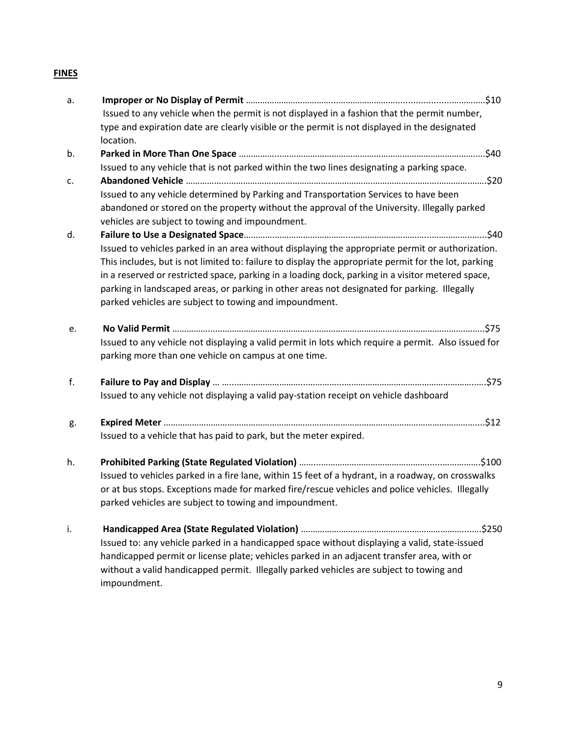# **FINES**

| a.       |                                                                                                                                                                                                                                                                                                                                                                                                                                                                         |
|----------|-------------------------------------------------------------------------------------------------------------------------------------------------------------------------------------------------------------------------------------------------------------------------------------------------------------------------------------------------------------------------------------------------------------------------------------------------------------------------|
|          | Issued to any vehicle when the permit is not displayed in a fashion that the permit number,                                                                                                                                                                                                                                                                                                                                                                             |
|          | type and expiration date are clearly visible or the permit is not displayed in the designated<br>location.                                                                                                                                                                                                                                                                                                                                                              |
| b.       |                                                                                                                                                                                                                                                                                                                                                                                                                                                                         |
|          | Issued to any vehicle that is not parked within the two lines designating a parking space.                                                                                                                                                                                                                                                                                                                                                                              |
| c.       |                                                                                                                                                                                                                                                                                                                                                                                                                                                                         |
|          | Issued to any vehicle determined by Parking and Transportation Services to have been                                                                                                                                                                                                                                                                                                                                                                                    |
|          | abandoned or stored on the property without the approval of the University. Illegally parked<br>vehicles are subject to towing and impoundment.                                                                                                                                                                                                                                                                                                                         |
| d.       |                                                                                                                                                                                                                                                                                                                                                                                                                                                                         |
|          | Issued to vehicles parked in an area without displaying the appropriate permit or authorization.<br>This includes, but is not limited to: failure to display the appropriate permit for the lot, parking<br>in a reserved or restricted space, parking in a loading dock, parking in a visitor metered space,<br>parking in landscaped areas, or parking in other areas not designated for parking. Illegally<br>parked vehicles are subject to towing and impoundment. |
| e.<br>f. |                                                                                                                                                                                                                                                                                                                                                                                                                                                                         |
|          | Issued to any vehicle not displaying a valid permit in lots which require a permit. Also issued for<br>parking more than one vehicle on campus at one time.                                                                                                                                                                                                                                                                                                             |
|          |                                                                                                                                                                                                                                                                                                                                                                                                                                                                         |
|          |                                                                                                                                                                                                                                                                                                                                                                                                                                                                         |
|          | Issued to any vehicle not displaying a valid pay-station receipt on vehicle dashboard                                                                                                                                                                                                                                                                                                                                                                                   |
| g.       |                                                                                                                                                                                                                                                                                                                                                                                                                                                                         |
|          | Issued to a vehicle that has paid to park, but the meter expired.                                                                                                                                                                                                                                                                                                                                                                                                       |
| h.       |                                                                                                                                                                                                                                                                                                                                                                                                                                                                         |
|          | Issued to vehicles parked in a fire lane, within 15 feet of a hydrant, in a roadway, on crosswalks                                                                                                                                                                                                                                                                                                                                                                      |
|          | or at bus stops. Exceptions made for marked fire/rescue vehicles and police vehicles. Illegally                                                                                                                                                                                                                                                                                                                                                                         |
|          | parked vehicles are subject to towing and impoundment.                                                                                                                                                                                                                                                                                                                                                                                                                  |
| i.       |                                                                                                                                                                                                                                                                                                                                                                                                                                                                         |
|          | Issued to: any vehicle parked in a handicapped space without displaying a valid, state-issued                                                                                                                                                                                                                                                                                                                                                                           |
|          | handicapped permit or license plate; vehicles parked in an adjacent transfer area, with or                                                                                                                                                                                                                                                                                                                                                                              |
|          | without a valid handicapped permit. Illegally parked vehicles are subject to towing and<br>impoundment.                                                                                                                                                                                                                                                                                                                                                                 |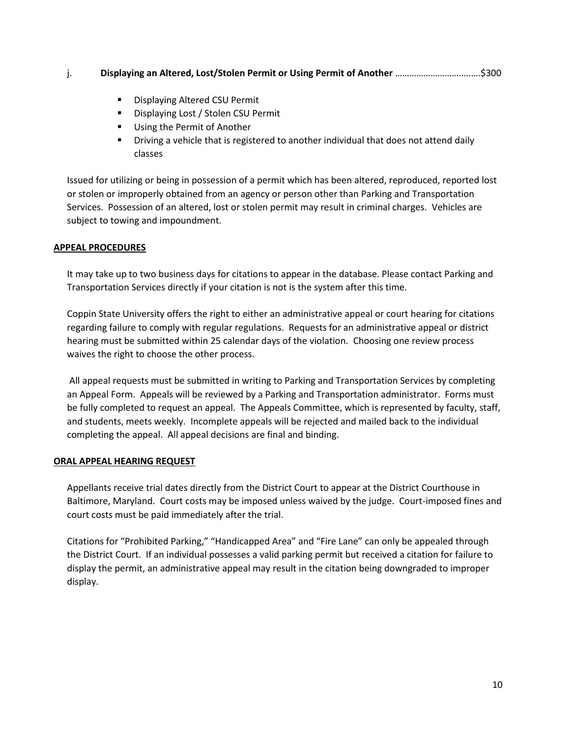## j. **Displaying an Altered, Lost/Stolen Permit or Using Permit of Another** ……………………….….….\$300

- **Displaying Altered CSU Permit**
- **■** Displaying Lost / Stolen CSU Permit
- **Using the Permit of Another**
- Driving a vehicle that is registered to another individual that does not attend daily classes

Issued for utilizing or being in possession of a permit which has been altered, reproduced, reported lost or stolen or improperly obtained from an agency or person other than Parking and Transportation Services. Possession of an altered, lost or stolen permit may result in criminal charges. Vehicles are subject to towing and impoundment.

## **APPEAL PROCEDURES**

It may take up to two business days for citations to appear in the database. Please contact Parking and Transportation Services directly if your citation is not is the system after this time.

Coppin State University offers the right to either an administrative appeal or court hearing for citations regarding failure to comply with regular regulations. Requests for an administrative appeal or district hearing must be submitted within 25 calendar days of the violation. Choosing one review process waives the right to choose the other process.

All appeal requests must be submitted in writing to Parking and Transportation Services by completing an Appeal Form. Appeals will be reviewed by a Parking and Transportation administrator. Forms must be fully completed to request an appeal. The Appeals Committee, which is represented by faculty, staff, and students, meets weekly. Incomplete appeals will be rejected and mailed back to the individual completing the appeal. All appeal decisions are final and binding.

## **ORAL APPEAL HEARING REQUEST**

Appellants receive trial dates directly from the District Court to appear at the District Courthouse in Baltimore, Maryland. Court costs may be imposed unless waived by the judge. Court-imposed fines and court costs must be paid immediately after the trial.

Citations for "Prohibited Parking," "Handicapped Area" and "Fire Lane" can only be appealed through the District Court. If an individual possesses a valid parking permit but received a citation for failure to display the permit, an administrative appeal may result in the citation being downgraded to improper display.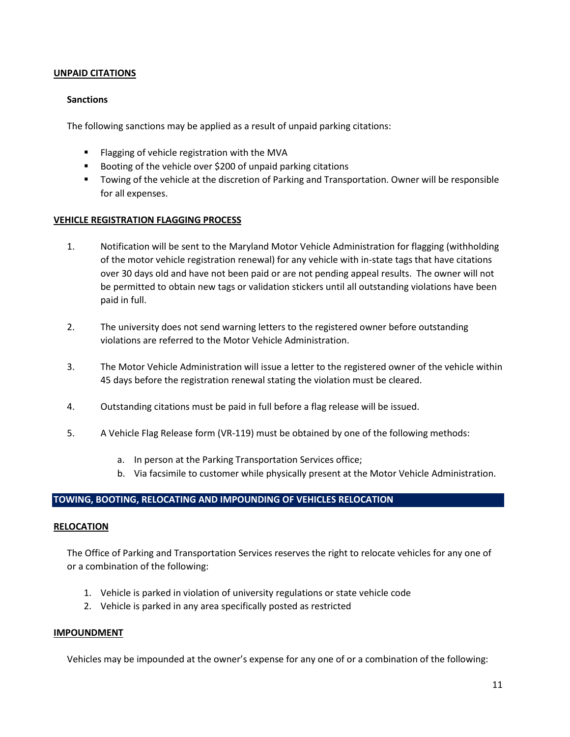## **UNPAID CITATIONS**

#### **Sanctions**

The following sanctions may be applied as a result of unpaid parking citations:

- **FI** Flagging of vehicle registration with the MVA
- Booting of the vehicle over \$200 of unpaid parking citations
- **The Towing of the vehicle at the discretion of Parking and Transportation. Owner will be responsible** for all expenses.

#### **VEHICLE REGISTRATION FLAGGING PROCESS**

- 1. Notification will be sent to the Maryland Motor Vehicle Administration for flagging (withholding of the motor vehicle registration renewal) for any vehicle with in-state tags that have citations over 30 days old and have not been paid or are not pending appeal results. The owner will not be permitted to obtain new tags or validation stickers until all outstanding violations have been paid in full.
- 2. The university does not send warning letters to the registered owner before outstanding violations are referred to the Motor Vehicle Administration.
- 3. The Motor Vehicle Administration will issue a letter to the registered owner of the vehicle within 45 days before the registration renewal stating the violation must be cleared.
- 4. Outstanding citations must be paid in full before a flag release will be issued.
- 5. A Vehicle Flag Release form (VR-119) must be obtained by one of the following methods:
	- a. In person at the Parking Transportation Services office;
	- b. Via facsimile to customer while physically present at the Motor Vehicle Administration.

#### **TOWING, BOOTING, RELOCATING AND IMPOUNDING OF VEHICLES RELOCATION**

#### **RELOCATION**

The Office of Parking and Transportation Services reserves the right to relocate vehicles for any one of or a combination of the following:

- 1. Vehicle is parked in violation of university regulations or state vehicle code
- 2. Vehicle is parked in any area specifically posted as restricted

#### **IMPOUNDMENT**

Vehicles may be impounded at the owner's expense for any one of or a combination of the following: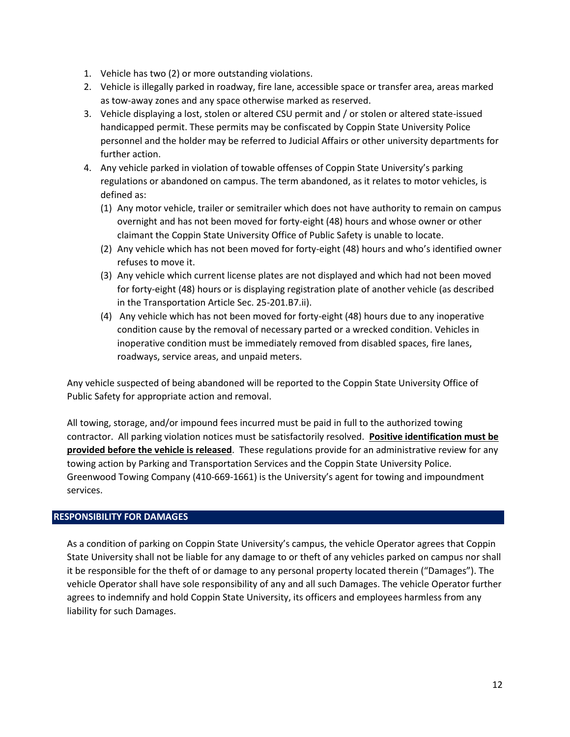- 1. Vehicle has two (2) or more outstanding violations.
- 2. Vehicle is illegally parked in roadway, fire lane, accessible space or transfer area, areas marked as tow-away zones and any space otherwise marked as reserved.
- 3. Vehicle displaying a lost, stolen or altered CSU permit and / or stolen or altered state-issued handicapped permit. These permits may be confiscated by Coppin State University Police personnel and the holder may be referred to Judicial Affairs or other university departments for further action.
- 4. Any vehicle parked in violation of towable offenses of Coppin State University's parking regulations or abandoned on campus. The term abandoned, as it relates to motor vehicles, is defined as:
	- (1) Any motor vehicle, trailer or semitrailer which does not have authority to remain on campus overnight and has not been moved for forty-eight (48) hours and whose owner or other claimant the Coppin State University Office of Public Safety is unable to locate.
	- (2) Any vehicle which has not been moved for forty-eight (48) hours and who's identified owner refuses to move it.
	- (3) Any vehicle which current license plates are not displayed and which had not been moved for forty-eight (48) hours or is displaying registration plate of another vehicle (as described in the Transportation Article Sec. 25-201.B7.ii).
	- (4) Any vehicle which has not been moved for forty-eight (48) hours due to any inoperative condition cause by the removal of necessary parted or a wrecked condition. Vehicles in inoperative condition must be immediately removed from disabled spaces, fire lanes, roadways, service areas, and unpaid meters.

Any vehicle suspected of being abandoned will be reported to the Coppin State University Office of Public Safety for appropriate action and removal.

All towing, storage, and/or impound fees incurred must be paid in full to the authorized towing contractor. All parking violation notices must be satisfactorily resolved. **Positive identification must be provided before the vehicle is released**. These regulations provide for an administrative review for any towing action by Parking and Transportation Services and the Coppin State University Police. Greenwood Towing Company (410-669-1661) is the University's agent for towing and impoundment services.

## **RESPONSIBILITY FOR DAMAGES**

As a condition of parking on Coppin State University's campus, the vehicle Operator agrees that Coppin State University shall not be liable for any damage to or theft of any vehicles parked on campus nor shall it be responsible for the theft of or damage to any personal property located therein ("Damages"). The vehicle Operator shall have sole responsibility of any and all such Damages. The vehicle Operator further agrees to indemnify and hold Coppin State University, its officers and employees harmless from any liability for such Damages.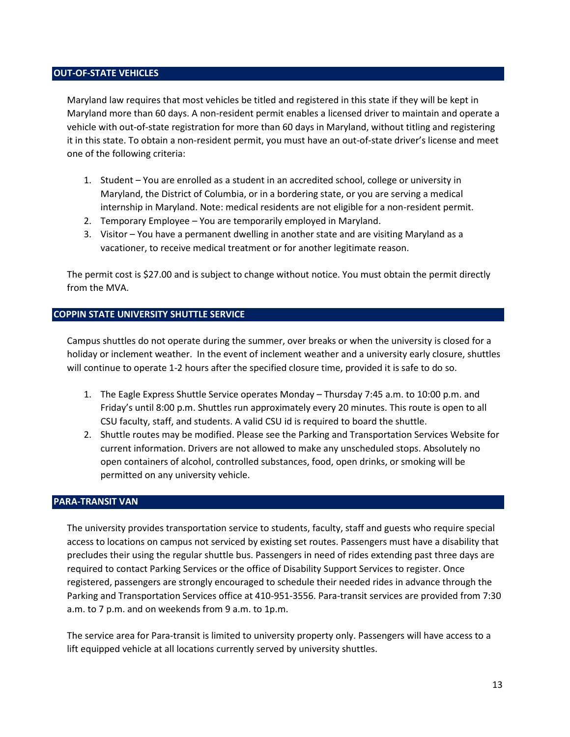#### **OUT-OF-STATE VEHICLES**

Maryland law requires that most vehicles be titled and registered in this state if they will be kept in Maryland more than 60 days. A non-resident permit enables a licensed driver to maintain and operate a vehicle with out-of-state registration for more than 60 days in Maryland, without titling and registering it in this state. To obtain a non-resident permit, you must have an out-of-state driver's license and meet one of the following criteria:

- 1. Student You are enrolled as a student in an accredited school, college or university in Maryland, the District of Columbia, or in a bordering state, or you are serving a medical internship in Maryland. Note: medical residents are not eligible for a non-resident permit.
- 2. Temporary Employee You are temporarily employed in Maryland.
- 3. Visitor You have a permanent dwelling in another state and are visiting Maryland as a vacationer, to receive medical treatment or for another legitimate reason.

The permit cost is \$27.00 and is subject to change without notice. You must obtain the permit directly from the MVA.

## **COPPIN STATE UNIVERSITY SHUTTLE SERVICE**

Campus shuttles do not operate during the summer, over breaks or when the university is closed for a holiday or inclement weather. In the event of inclement weather and a university early closure, shuttles will continue to operate 1-2 hours after the specified closure time, provided it is safe to do so.

- 1. The Eagle Express Shuttle Service operates Monday Thursday 7:45 a.m. to 10:00 p.m. and Friday's until 8:00 p.m. Shuttles run approximately every 20 minutes. This route is open to all CSU faculty, staff, and students. A valid CSU id is required to board the shuttle.
- 2. Shuttle routes may be modified. Please see the Parking and Transportation Services Website for current information. Drivers are not allowed to make any unscheduled stops. Absolutely no open containers of alcohol, controlled substances, food, open drinks, or smoking will be permitted on any university vehicle.

## **PARA-TRANSIT VAN**

The university provides transportation service to students, faculty, staff and guests who require special access to locations on campus not serviced by existing set routes. Passengers must have a disability that precludes their using the regular shuttle bus. Passengers in need of rides extending past three days are required to contact Parking Services or the office of Disability Support Services to register. Once registered, passengers are strongly encouraged to schedule their needed rides in advance through the Parking and Transportation Services office at 410-951-3556. Para-transit services are provided from 7:30 a.m. to 7 p.m. and on weekends from 9 a.m. to 1p.m.

The service area for Para-transit is limited to university property only. Passengers will have access to a lift equipped vehicle at all locations currently served by university shuttles.